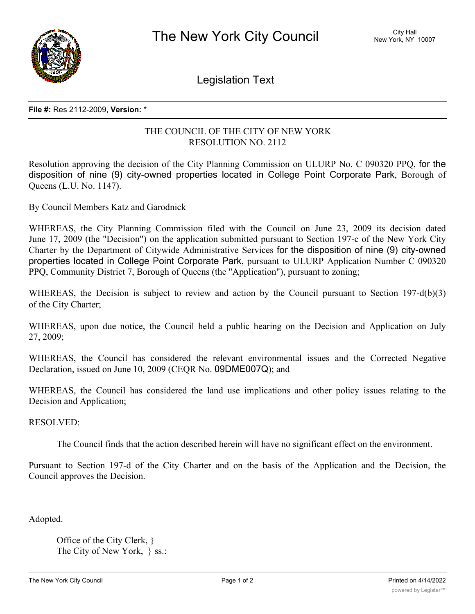

Legislation Text

## **File #:** Res 2112-2009, **Version:** \*

## THE COUNCIL OF THE CITY OF NEW YORK RESOLUTION NO. 2112

Resolution approving the decision of the City Planning Commission on ULURP No. C 090320 PPQ, for the disposition of nine (9) city-owned properties located in College Point Corporate Park, Borough of Queens (L.U. No. 1147).

By Council Members Katz and Garodnick

WHEREAS, the City Planning Commission filed with the Council on June 23, 2009 its decision dated June 17, 2009 (the "Decision") on the application submitted pursuant to Section 197-c of the New York City Charter by the Department of Citywide Administrative Services for the disposition of nine (9) city-owned properties located in College Point Corporate Park, pursuant to ULURP Application Number C 090320 PPQ, Community District 7, Borough of Queens (the "Application"), pursuant to zoning;

WHEREAS, the Decision is subject to review and action by the Council pursuant to Section 197-d(b)(3) of the City Charter;

WHEREAS, upon due notice, the Council held a public hearing on the Decision and Application on July 27, 2009;

WHEREAS, the Council has considered the relevant environmental issues and the Corrected Negative Declaration, issued on June 10, 2009 (CEQR No. 09DME007Q); and

WHEREAS, the Council has considered the land use implications and other policy issues relating to the Decision and Application;

RESOLVED:

The Council finds that the action described herein will have no significant effect on the environment.

Pursuant to Section 197-d of the City Charter and on the basis of the Application and the Decision, the Council approves the Decision.

Adopted.

Office of the City Clerk, } The City of New York, } ss.: